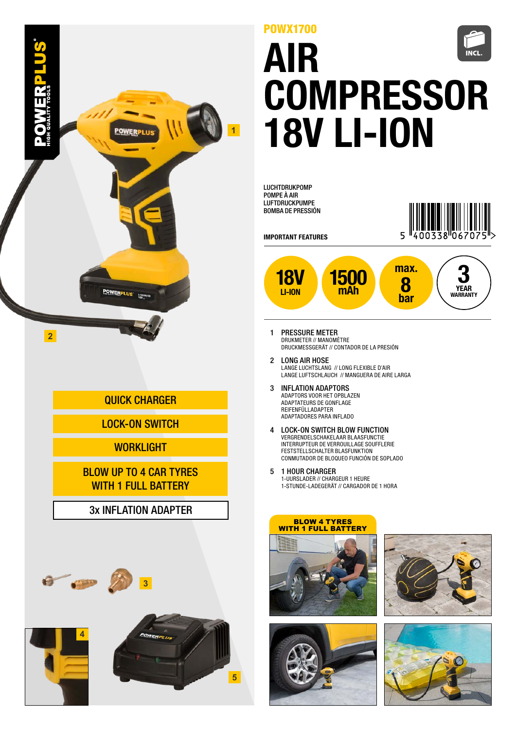

# QUICK CHARGER

# LOCK-ON SWITCH

## **WORKLIGHT**

#### BLOW UP TO 4 CAR TYRES WITH 1 FULL BATTERY

## 3x INFLATION ADAPTER







# AIR **COMPRESSOR** 18V LI-ION POWX1700

LUCHTDRUKPOMP POMPE À AIR LUFTDRUCKPUMPE BOMBA DE PRESSIÓN



IMPORTANT FEATURES



- 1 PRESSURE METER DRUKMETER // MANOMÈTRE DRUCKMESSGERÄT // CONTADOR DE LA PRESIÓN
- 2 LONG AIR HOSE LANGE LUCHTSLANG // LONG FLEXIBLE D'AIR LANGE LUFTSCHLAUCH // MANGUERA DE AIRE LARGA
- 3 INFLATION ADAPTORS ADAPTORS VOOR HET OPBLAZEN ADAPTATEURS DE GONFLAGE REIFENFÜLLADAPTER ADAPTADORES PARA INFLADO
- 4 LOCK-ON SWITCH BLOW FUNCTION VERGRENDELSCHAKELAAR BLAASFUNCTIE INTERRUPTEUR DE VERROUILLAGE SOUFFLERIE FESTSTELLSCHALTER BLASFUNKTION CONMUTADOR DE BLOQUEO FUNCIÓN DE SOPLADO
- 5 1 HOUR CHARGER 1-UURSLADER // CHARGEUR 1 HEURE 1-STUNDE-LADEGERÄT // CARGADOR DE 1 HORA